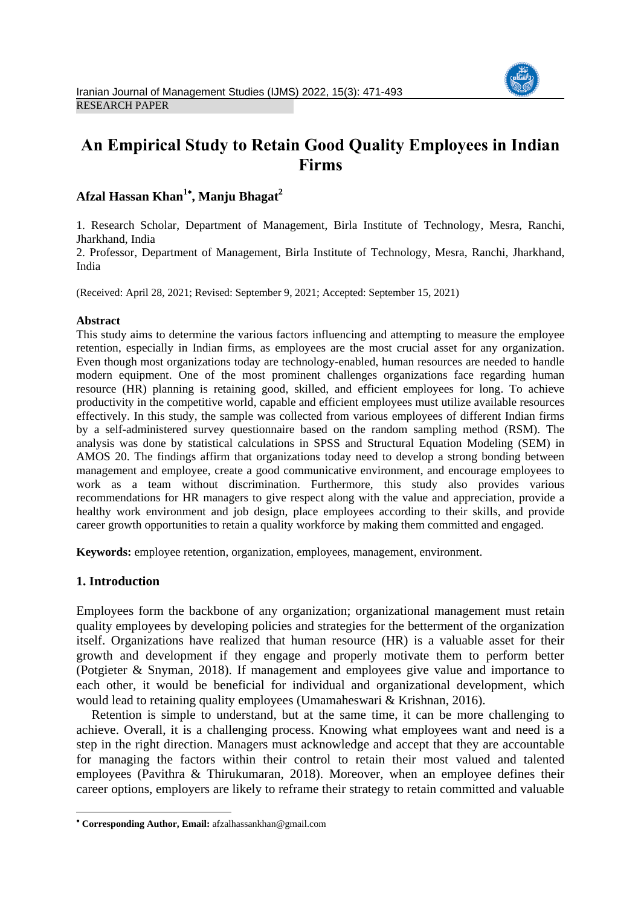

# **An Empirical Study to Retain Good Quality Employees in Indian Firms**

# **Afzal Hassan Khan<sup>1</sup> , Manju Bhagat<sup>2</sup>**

1. Research Scholar, Department of Management, Birla Institute of Technology, Mesra, Ranchi, Jharkhand, India

2. Professor, Department of Management, Birla Institute of Technology, Mesra, Ranchi, Jharkhand, India

(Received: April 28, 2021; Revised: September 9, 2021; Accepted: September 15, 2021)

#### **Abstract**

This study aims to determine the various factors influencing and attempting to measure the employee retention, especially in Indian firms, as employees are the most crucial asset for any organization. Even though most organizations today are technology-enabled, human resources are needed to handle modern equipment. One of the most prominent challenges organizations face regarding human resource (HR) planning is retaining good, skilled, and efficient employees for long. To achieve productivity in the competitive world, capable and efficient employees must utilize available resources effectively. In this study, the sample was collected from various employees of different Indian firms by a self-administered survey questionnaire based on the random sampling method (RSM). The analysis was done by statistical calculations in SPSS and Structural Equation Modeling (SEM) in AMOS 20. The findings affirm that organizations today need to develop a strong bonding between management and employee, create a good communicative environment, and encourage employees to work as a team without discrimination. Furthermore, this study also provides various recommendations for HR managers to give respect along with the value and appreciation, provide a healthy work environment and job design, place employees according to their skills, and provide career growth opportunities to retain a quality workforce by making them committed and engaged.

**Keywords:** employee retention, organization, employees, management, environment.

#### **1. Introduction**

1

Employees form the backbone of any organization; organizational management must retain quality employees by developing policies and strategies for the betterment of the organization itself. Organizations have realized that human resource (HR) is a valuable asset for their growth and development if they engage and properly motivate them to perform better (Potgieter & Snyman, 2018). If management and employees give value and importance to each other, it would be beneficial for individual and organizational development, which would lead to retaining quality employees (Umamaheswari & Krishnan, 2016).

Retention is simple to understand, but at the same time, it can be more challenging to achieve. Overall, it is a challenging process. Knowing what employees want and need is a step in the right direction. Managers must acknowledge and accept that they are accountable for managing the factors within their control to retain their most valued and talented employees (Pavithra & Thirukumaran, 2018). Moreover, when an employee defines their career options, employers are likely to reframe their strategy to retain committed and valuable

**Corresponding Author, Email:** afzalhassankhan@gmail.com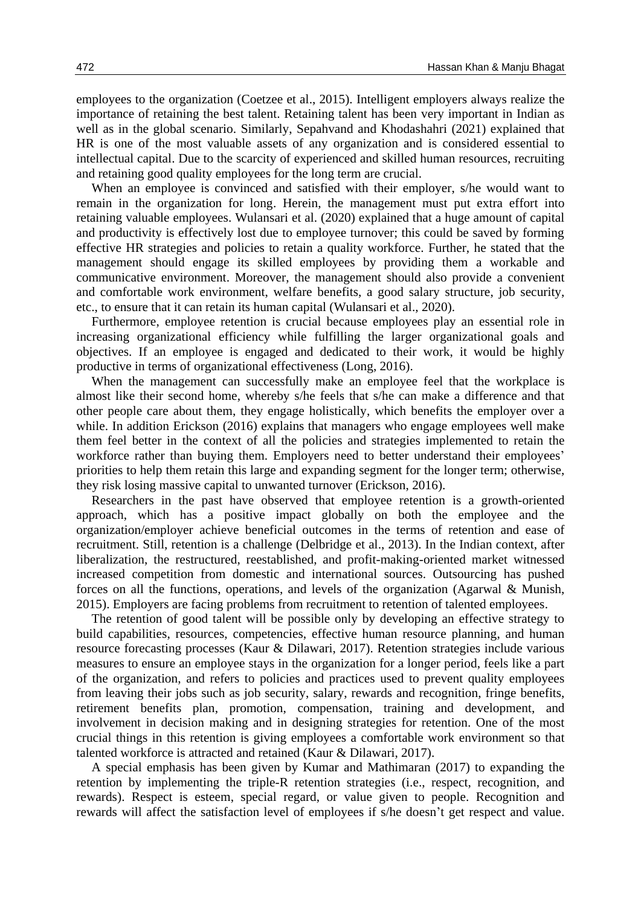employees to the organization (Coetzee et al., 2015). Intelligent employers always realize the importance of retaining the best talent. Retaining talent has been very important in Indian as well as in the global scenario. Similarly, Sepahvand and Khodashahri (2021) explained that HR is one of the most valuable assets of any organization and is considered essential to intellectual capital. Due to the scarcity of experienced and skilled human resources, recruiting and retaining good quality employees for the long term are crucial.

When an employee is convinced and satisfied with their employer, s/he would want to remain in the organization for long. Herein, the management must put extra effort into retaining valuable employees. Wulansari et al. (2020) explained that a huge amount of capital and productivity is effectively lost due to employee turnover; this could be saved by forming effective HR strategies and policies to retain a quality workforce. Further, he stated that the management should engage its skilled employees by providing them a workable and communicative environment. Moreover, the management should also provide a convenient and comfortable work environment, welfare benefits, a good salary structure, job security, etc., to ensure that it can retain its human capital (Wulansari et al., 2020).

Furthermore, employee retention is crucial because employees play an essential role in increasing organizational efficiency while fulfilling the larger organizational goals and objectives. If an employee is engaged and dedicated to their work, it would be highly productive in terms of organizational effectiveness (Long, 2016).

When the management can successfully make an employee feel that the workplace is almost like their second home, whereby s/he feels that s/he can make a difference and that other people care about them, they engage holistically, which benefits the employer over a while. In addition Erickson (2016) explains that managers who engage employees well make them feel better in the context of all the policies and strategies implemented to retain the workforce rather than buying them. Employers need to better understand their employees' priorities to help them retain this large and expanding segment for the longer term; otherwise, they risk losing massive capital to unwanted turnover (Erickson, 2016).

Researchers in the past have observed that employee retention is a growth-oriented approach, which has a positive impact globally on both the employee and the organization/employer achieve beneficial outcomes in the terms of retention and ease of recruitment. Still, retention is a challenge (Delbridge et al., 2013). In the Indian context, after liberalization, the restructured, reestablished, and profit-making-oriented market witnessed increased competition from domestic and international sources. Outsourcing has pushed forces on all the functions, operations, and levels of the organization (Agarwal & Munish, 2015). Employers are facing problems from recruitment to retention of talented employees.

The retention of good talent will be possible only by developing an effective strategy to build capabilities, resources, competencies, effective human resource planning, and human resource forecasting processes (Kaur & Dilawari, 2017). Retention strategies include various measures to ensure an employee stays in the organization for a longer period, feels like a part of the organization, and refers to policies and practices used to prevent quality employees from leaving their jobs such as job security, salary, rewards and recognition, fringe benefits, retirement benefits plan, promotion, compensation, training and development, and involvement in decision making and in designing strategies for retention. One of the most crucial things in this retention is giving employees a comfortable work environment so that talented workforce is attracted and retained (Kaur & Dilawari, 2017).

A special emphasis has been given by Kumar and Mathimaran (2017) to expanding the retention by implementing the triple-R retention strategies (i.e., respect, recognition, and rewards). Respect is esteem, special regard, or value given to people. Recognition and rewards will affect the satisfaction level of employees if s/he doesn't get respect and value.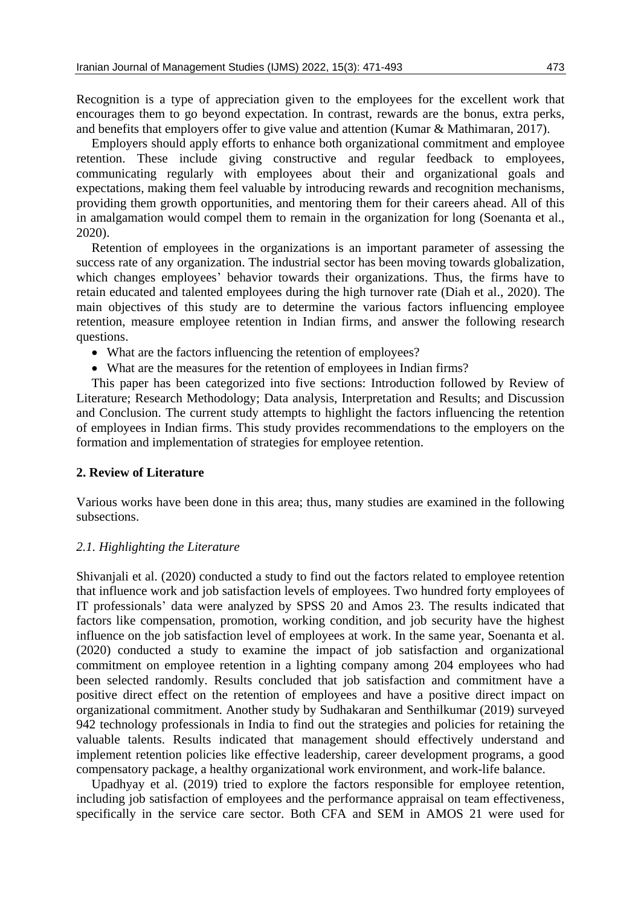Recognition is a type of appreciation given to the employees for the excellent work that encourages them to go beyond expectation. In contrast, rewards are the bonus, extra perks, and benefits that employers offer to give value and attention (Kumar & Mathimaran, 2017).

Employers should apply efforts to enhance both organizational commitment and employee retention. These include giving constructive and regular feedback to employees, communicating regularly with employees about their and organizational goals and expectations, making them feel valuable by introducing rewards and recognition mechanisms, providing them growth opportunities, and mentoring them for their careers ahead. All of this in amalgamation would compel them to remain in the organization for long (Soenanta et al., 2020).

Retention of employees in the organizations is an important parameter of assessing the success rate of any organization. The industrial sector has been moving towards globalization, which changes employees' behavior towards their organizations. Thus, the firms have to retain educated and talented employees during the high turnover rate (Diah et al., 2020). The main objectives of this study are to determine the various factors influencing employee retention, measure employee retention in Indian firms, and answer the following research questions.

- What are the factors influencing the retention of employees?
- What are the measures for the retention of employees in Indian firms?

This paper has been categorized into five sections: Introduction followed by Review of Literature; Research Methodology; Data analysis, Interpretation and Results; and Discussion and Conclusion. The current study attempts to highlight the factors influencing the retention of employees in Indian firms. This study provides recommendations to the employers on the formation and implementation of strategies for employee retention.

#### **2. Review of Literature**

Various works have been done in this area; thus, many studies are examined in the following subsections.

#### *2.1. Highlighting the Literature*

Shivanjali et al. (2020) conducted a study to find out the factors related to employee retention that influence work and job satisfaction levels of employees. Two hundred forty employees of IT professionals' data were analyzed by SPSS 20 and Amos 23. The results indicated that factors like compensation, promotion, working condition, and job security have the highest influence on the job satisfaction level of employees at work. In the same year, Soenanta et al. (2020) conducted a study to examine the impact of job satisfaction and organizational commitment on employee retention in a lighting company among 204 employees who had been selected randomly. Results concluded that job satisfaction and commitment have a positive direct effect on the retention of employees and have a positive direct impact on organizational commitment. Another study by Sudhakaran and Senthilkumar (2019) surveyed 942 technology professionals in India to find out the strategies and policies for retaining the valuable talents. Results indicated that management should effectively understand and implement retention policies like effective leadership, career development programs, a good compensatory package, a healthy organizational work environment, and work-life balance.

Upadhyay et al. (2019) tried to explore the factors responsible for employee retention, including job satisfaction of employees and the performance appraisal on team effectiveness, specifically in the service care sector. Both CFA and SEM in AMOS 21 were used for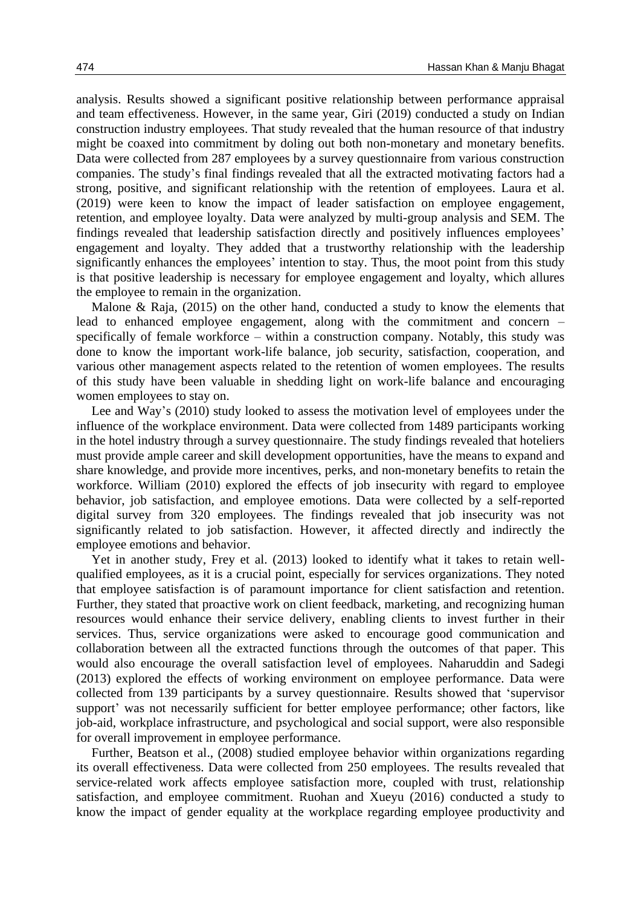analysis. Results showed a significant positive relationship between performance appraisal and team effectiveness. However, in the same year, Giri (2019) conducted a study on Indian construction industry employees. That study revealed that the human resource of that industry might be coaxed into commitment by doling out both non-monetary and monetary benefits. Data were collected from 287 employees by a survey questionnaire from various construction companies. The study's final findings revealed that all the extracted motivating factors had a strong, positive, and significant relationship with the retention of employees. Laura et al. (2019) were keen to know the impact of leader satisfaction on employee engagement, retention, and employee loyalty. Data were analyzed by multi-group analysis and SEM. The findings revealed that leadership satisfaction directly and positively influences employees' engagement and loyalty. They added that a trustworthy relationship with the leadership significantly enhances the employees' intention to stay. Thus, the moot point from this study is that positive leadership is necessary for employee engagement and loyalty, which allures the employee to remain in the organization.

Malone & Raja, (2015) on the other hand, conducted a study to know the elements that lead to enhanced employee engagement, along with the commitment and concern – specifically of female workforce – within a construction company. Notably, this study was done to know the important work-life balance, job security, satisfaction, cooperation, and various other management aspects related to the retention of women employees. The results of this study have been valuable in shedding light on work-life balance and encouraging women employees to stay on.

Lee and Way's (2010) study looked to assess the motivation level of employees under the influence of the workplace environment. Data were collected from 1489 participants working in the hotel industry through a survey questionnaire. The study findings revealed that hoteliers must provide ample career and skill development opportunities, have the means to expand and share knowledge, and provide more incentives, perks, and non-monetary benefits to retain the workforce. William (2010) explored the effects of job insecurity with regard to employee behavior, job satisfaction, and employee emotions. Data were collected by a self-reported digital survey from 320 employees. The findings revealed that job insecurity was not significantly related to job satisfaction. However, it affected directly and indirectly the employee emotions and behavior.

Yet in another study, Frey et al. (2013) looked to identify what it takes to retain wellqualified employees, as it is a crucial point, especially for services organizations. They noted that employee satisfaction is of paramount importance for client satisfaction and retention. Further, they stated that proactive work on client feedback, marketing, and recognizing human resources would enhance their service delivery, enabling clients to invest further in their services. Thus, service organizations were asked to encourage good communication and collaboration between all the extracted functions through the outcomes of that paper. This would also encourage the overall satisfaction level of employees. Naharuddin and Sadegi (2013) explored the effects of working environment on employee performance. Data were collected from 139 participants by a survey questionnaire. Results showed that 'supervisor support' was not necessarily sufficient for better employee performance; other factors, like job-aid, workplace infrastructure, and psychological and social support, were also responsible for overall improvement in employee performance.

Further, Beatson et al., (2008) studied employee behavior within organizations regarding its overall effectiveness. Data were collected from 250 employees. The results revealed that service-related work affects employee satisfaction more, coupled with trust, relationship satisfaction, and employee commitment. Ruohan and Xueyu (2016) conducted a study to know the impact of gender equality at the workplace regarding employee productivity and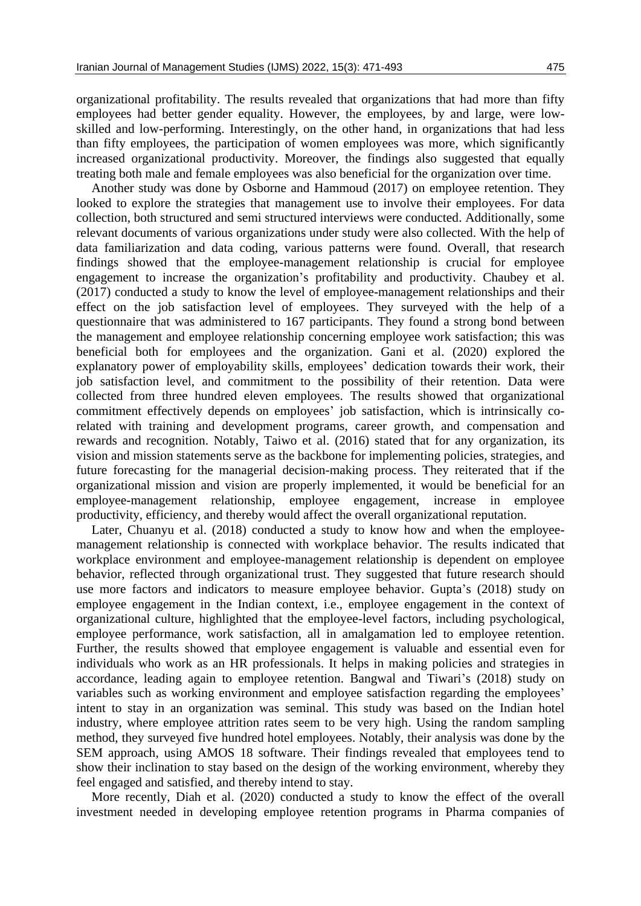organizational profitability. The results revealed that organizations that had more than fifty employees had better gender equality. However, the employees, by and large, were lowskilled and low-performing. Interestingly, on the other hand, in organizations that had less than fifty employees, the participation of women employees was more, which significantly increased organizational productivity. Moreover, the findings also suggested that equally treating both male and female employees was also beneficial for the organization over time.

Another study was done by Osborne and Hammoud (2017) on employee retention. They looked to explore the strategies that management use to involve their employees. For data collection, both structured and semi structured interviews were conducted. Additionally, some relevant documents of various organizations under study were also collected. With the help of data familiarization and data coding, various patterns were found. Overall, that research findings showed that the employee-management relationship is crucial for employee engagement to increase the organization's profitability and productivity. Chaubey et al. (2017) conducted a study to know the level of employee-management relationships and their effect on the job satisfaction level of employees. They surveyed with the help of a questionnaire that was administered to 167 participants. They found a strong bond between the management and employee relationship concerning employee work satisfaction; this was beneficial both for employees and the organization. Gani et al. (2020) explored the explanatory power of employability skills, employees' dedication towards their work, their job satisfaction level, and commitment to the possibility of their retention. Data were collected from three hundred eleven employees. The results showed that organizational commitment effectively depends on employees' job satisfaction, which is intrinsically corelated with training and development programs, career growth, and compensation and rewards and recognition. Notably, Taiwo et al. (2016) stated that for any organization, its vision and mission statements serve as the backbone for implementing policies, strategies, and future forecasting for the managerial decision-making process. They reiterated that if the organizational mission and vision are properly implemented, it would be beneficial for an employee-management relationship, employee engagement, increase in employee productivity, efficiency, and thereby would affect the overall organizational reputation.

Later, Chuanyu et al. (2018) conducted a study to know how and when the employeemanagement relationship is connected with workplace behavior. The results indicated that workplace environment and employee-management relationship is dependent on employee behavior, reflected through organizational trust. They suggested that future research should use more factors and indicators to measure employee behavior. Gupta's (2018) study on employee engagement in the Indian context, i.e., employee engagement in the context of organizational culture, highlighted that the employee-level factors, including psychological, employee performance, work satisfaction, all in amalgamation led to employee retention. Further, the results showed that employee engagement is valuable and essential even for individuals who work as an HR professionals. It helps in making policies and strategies in accordance, leading again to employee retention. Bangwal and Tiwari's (2018) study on variables such as working environment and employee satisfaction regarding the employees' intent to stay in an organization was seminal. This study was based on the Indian hotel industry, where employee attrition rates seem to be very high. Using the random sampling method, they surveyed five hundred hotel employees. Notably, their analysis was done by the SEM approach, using AMOS 18 software. Their findings revealed that employees tend to show their inclination to stay based on the design of the working environment, whereby they feel engaged and satisfied, and thereby intend to stay.

More recently, Diah et al. (2020) conducted a study to know the effect of the overall investment needed in developing employee retention programs in Pharma companies of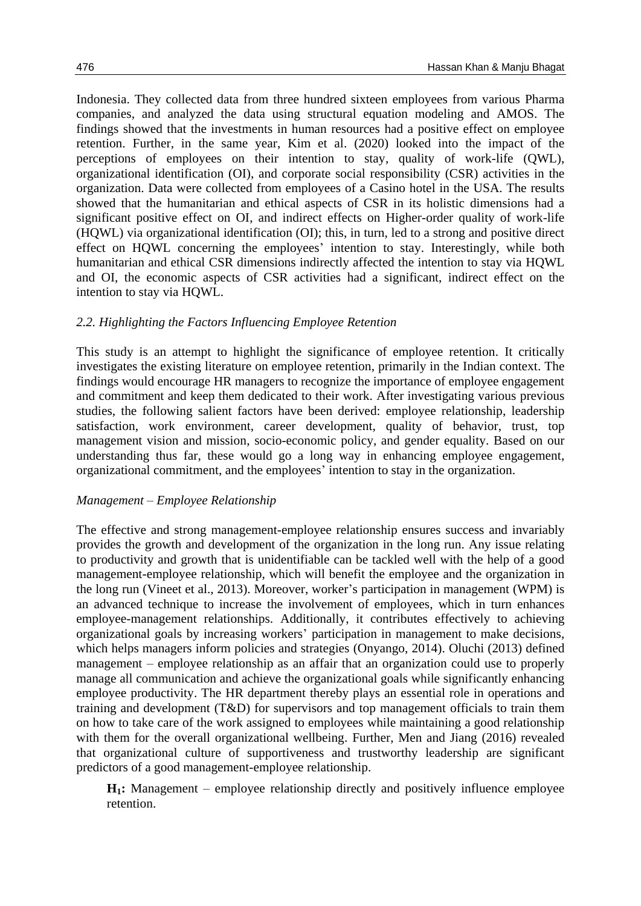Indonesia. They collected data from three hundred sixteen employees from various Pharma companies, and analyzed the data using structural equation modeling and AMOS. The findings showed that the investments in human resources had a positive effect on employee retention. Further, in the same year, Kim et al. (2020) looked into the impact of the perceptions of employees on their intention to stay, quality of work-life (QWL), organizational identification (OI), and corporate social responsibility (CSR) activities in the organization. Data were collected from employees of a Casino hotel in the USA. The results showed that the humanitarian and ethical aspects of CSR in its holistic dimensions had a significant positive effect on OI, and indirect effects on Higher-order quality of work-life (HQWL) via organizational identification (OI); this, in turn, led to a strong and positive direct effect on HQWL concerning the employees' intention to stay. Interestingly, while both humanitarian and ethical CSR dimensions indirectly affected the intention to stay via HQWL and OI, the economic aspects of CSR activities had a significant, indirect effect on the intention to stay via HQWL.

### *2.2. Highlighting the Factors Influencing Employee Retention*

This study is an attempt to highlight the significance of employee retention. It critically investigates the existing literature on employee retention, primarily in the Indian context. The findings would encourage HR managers to recognize the importance of employee engagement and commitment and keep them dedicated to their work. After investigating various previous studies, the following salient factors have been derived: employee relationship, leadership satisfaction, work environment, career development, quality of behavior, trust, top management vision and mission, socio-economic policy, and gender equality. Based on our understanding thus far, these would go a long way in enhancing employee engagement, organizational commitment, and the employees' intention to stay in the organization.

#### *Management – Employee Relationship*

The effective and strong management-employee relationship ensures success and invariably provides the growth and development of the organization in the long run. Any issue relating to productivity and growth that is unidentifiable can be tackled well with the help of a good management-employee relationship, which will benefit the employee and the organization in the long run (Vineet et al., 2013). Moreover, worker's participation in management (WPM) is an advanced technique to increase the involvement of employees, which in turn enhances employee-management relationships. Additionally, it contributes effectively to achieving organizational goals by increasing workers' participation in management to make decisions, which helps managers inform policies and strategies (Onyango, 2014). Oluchi (2013) defined management – employee relationship as an affair that an organization could use to properly manage all communication and achieve the organizational goals while significantly enhancing employee productivity. The HR department thereby plays an essential role in operations and training and development (T&D) for supervisors and top management officials to train them on how to take care of the work assigned to employees while maintaining a good relationship with them for the overall organizational wellbeing. Further, Men and Jiang (2016) revealed that organizational culture of supportiveness and trustworthy leadership are significant predictors of a good management-employee relationship.

**H1:** Management – employee relationship directly and positively influence employee retention.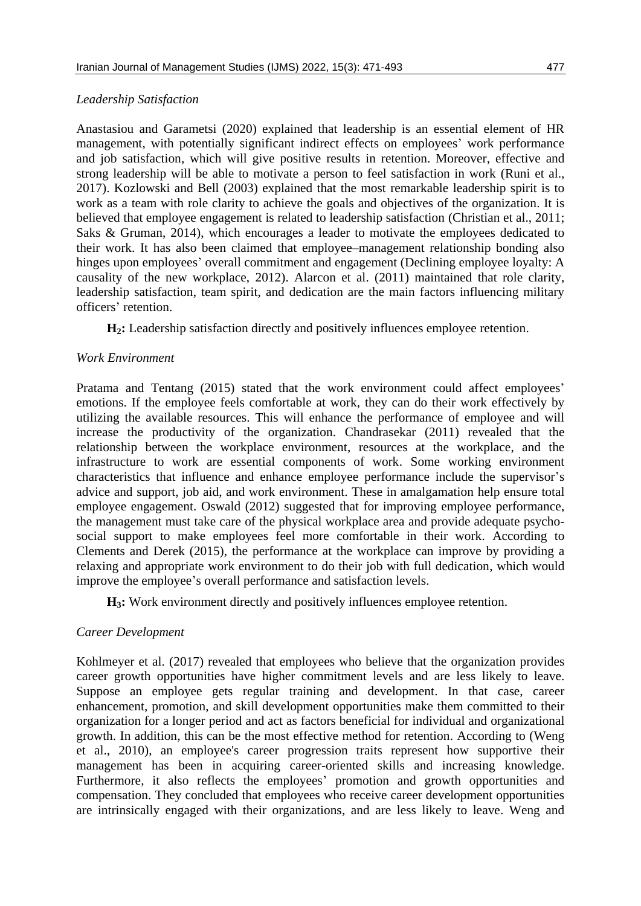#### *Leadership Satisfaction*

Anastasiou and Garametsi (2020) explained that leadership is an essential element of HR management, with potentially significant indirect effects on employees' work performance and job satisfaction, which will give positive results in retention. Moreover, effective and strong leadership will be able to motivate a person to feel satisfaction in work (Runi et al., 2017). Kozlowski and Bell (2003) explained that the most remarkable leadership spirit is to work as a team with role clarity to achieve the goals and objectives of the organization. It is believed that employee engagement is related to leadership satisfaction (Christian et al., 2011; Saks & Gruman, 2014), which encourages a leader to motivate the employees dedicated to their work. It has also been claimed that employee–management relationship bonding also hinges upon employees' overall commitment and engagement (Declining employee loyalty: A causality of the new workplace, 2012). Alarcon et al. (2011) maintained that role clarity, leadership satisfaction, team spirit, and dedication are the main factors influencing military officers' retention.

**H2:** Leadership satisfaction directly and positively influences employee retention.

### *Work Environment*

Pratama and Tentang (2015) stated that the work environment could affect employees' emotions. If the employee feels comfortable at work, they can do their work effectively by utilizing the available resources. This will enhance the performance of employee and will increase the productivity of the organization. Chandrasekar (2011) revealed that the relationship between the workplace environment, resources at the workplace, and the infrastructure to work are essential components of work. Some working environment characteristics that influence and enhance employee performance include the supervisor's advice and support, job aid, and work environment. These in amalgamation help ensure total employee engagement. Oswald (2012) suggested that for improving employee performance, the management must take care of the physical workplace area and provide adequate psychosocial support to make employees feel more comfortable in their work. According to Clements and Derek (2015), the performance at the workplace can improve by providing a relaxing and appropriate work environment to do their job with full dedication, which would improve the employee's overall performance and satisfaction levels.

**H3:** Work environment directly and positively influences employee retention.

### *Career Development*

Kohlmeyer et al. (2017) revealed that employees who believe that the organization provides career growth opportunities have higher commitment levels and are less likely to leave. Suppose an employee gets regular training and development. In that case, career enhancement, promotion, and skill development opportunities make them committed to their organization for a longer period and act as factors beneficial for individual and organizational growth. In addition, this can be the most effective method for retention. According to (Weng et al., 2010), an employee's career progression traits represent how supportive their management has been in acquiring career-oriented skills and increasing knowledge. Furthermore, it also reflects the employees' promotion and growth opportunities and compensation. They concluded that employees who receive career development opportunities are intrinsically engaged with their organizations, and are less likely to leave. Weng and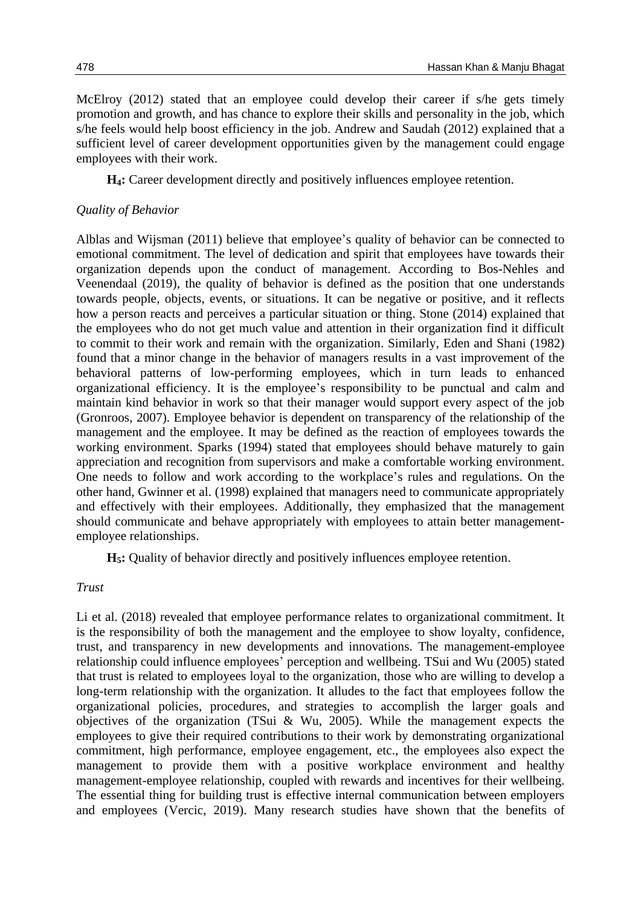McElroy (2012) stated that an employee could develop their career if s/he gets timely promotion and growth, and has chance to explore their skills and personality in the job, which s/he feels would help boost efficiency in the job. Andrew and Saudah (2012) explained that a sufficient level of career development opportunities given by the management could engage employees with their work.

**H4:** Career development directly and positively influences employee retention.

### *Quality of Behavior*

Alblas and Wijsman (2011) believe that employee's quality of behavior can be connected to emotional commitment. The level of dedication and spirit that employees have towards their organization depends upon the conduct of management. According to Bos-Nehles and Veenendaal (2019), the quality of behavior is defined as the position that one understands towards people, objects, events, or situations. It can be negative or positive, and it reflects how a person reacts and perceives a particular situation or thing. Stone (2014) explained that the employees who do not get much value and attention in their organization find it difficult to commit to their work and remain with the organization. Similarly, Eden and Shani (1982) found that a minor change in the behavior of managers results in a vast improvement of the behavioral patterns of low-performing employees, which in turn leads to enhanced organizational efficiency. It is the employee's responsibility to be punctual and calm and maintain kind behavior in work so that their manager would support every aspect of the job (Gronroos, 2007). Employee behavior is dependent on transparency of the relationship of the management and the employee. It may be defined as the reaction of employees towards the working environment. Sparks (1994) stated that employees should behave maturely to gain appreciation and recognition from supervisors and make a comfortable working environment. One needs to follow and work according to the workplace's rules and regulations. On the other hand, Gwinner et al. (1998) explained that managers need to communicate appropriately and effectively with their employees. Additionally, they emphasized that the management should communicate and behave appropriately with employees to attain better managementemployee relationships.

**H5:** Quality of behavior directly and positively influences employee retention.

### *Trust*

Li et al. (2018) revealed that employee performance relates to organizational commitment. It is the responsibility of both the management and the employee to show loyalty, confidence, trust, and transparency in new developments and innovations. The management-employee relationship could influence employees' perception and wellbeing. TSui and Wu (2005) stated that trust is related to employees loyal to the organization, those who are willing to develop a long-term relationship with the organization. It alludes to the fact that employees follow the organizational policies, procedures, and strategies to accomplish the larger goals and objectives of the organization (TSui & Wu, 2005). While the management expects the employees to give their required contributions to their work by demonstrating organizational commitment, high performance, employee engagement, etc., the employees also expect the management to provide them with a positive workplace environment and healthy management-employee relationship, coupled with rewards and incentives for their wellbeing. The essential thing for building trust is effective internal communication between employers and employees (Vercic, 2019). Many research studies have shown that the benefits of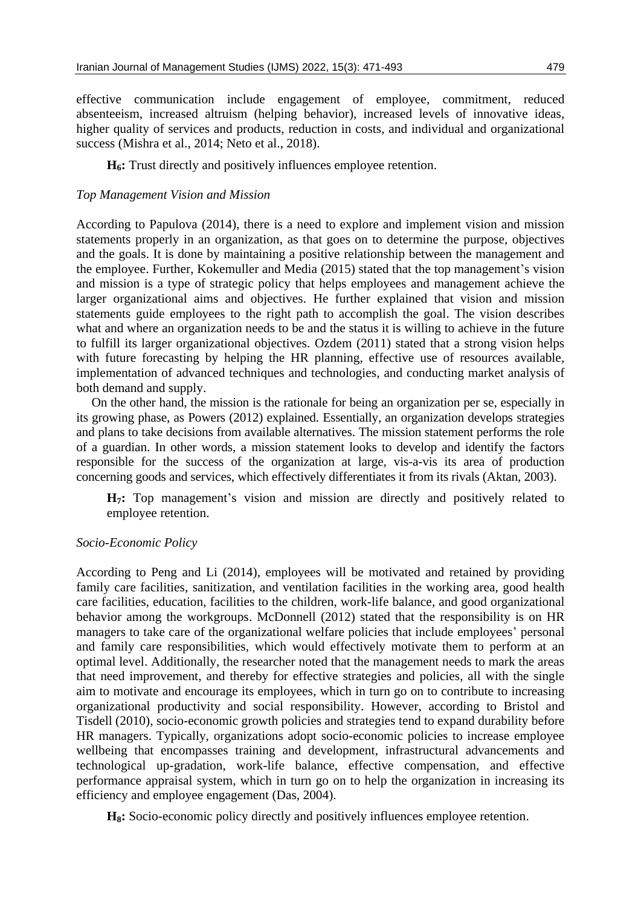effective communication include engagement of employee, commitment, reduced absenteeism, increased altruism (helping behavior), increased levels of innovative ideas, higher quality of services and products, reduction in costs, and individual and organizational success (Mishra et al., 2014; Neto et al., 2018).

**H6:** Trust directly and positively influences employee retention.

#### *Top Management Vision and Mission*

According to Papulova (2014), there is a need to explore and implement vision and mission statements properly in an organization, as that goes on to determine the purpose, objectives and the goals. It is done by maintaining a positive relationship between the management and the employee. Further, Kokemuller and Media (2015) stated that the top management's vision and mission is a type of strategic policy that helps employees and management achieve the larger organizational aims and objectives. He further explained that vision and mission statements guide employees to the right path to accomplish the goal. The vision describes what and where an organization needs to be and the status it is willing to achieve in the future to fulfill its larger organizational objectives. Ozdem (2011) stated that a strong vision helps with future forecasting by helping the HR planning, effective use of resources available, implementation of advanced techniques and technologies, and conducting market analysis of both demand and supply.

On the other hand, the mission is the rationale for being an organization per se, especially in its growing phase, as Powers (2012) explained. Essentially, an organization develops strategies and plans to take decisions from available alternatives. The mission statement performs the role of a guardian. In other words, a mission statement looks to develop and identify the factors responsible for the success of the organization at large, vis-a-vis its area of production concerning goods and services, which effectively differentiates it from its rivals (Aktan, 2003).

**H7:** Top management's vision and mission are directly and positively related to employee retention.

#### *Socio-Economic Policy*

According to Peng and Li (2014), employees will be motivated and retained by providing family care facilities, sanitization, and ventilation facilities in the working area, good health care facilities, education, facilities to the children, work-life balance, and good organizational behavior among the workgroups. McDonnell (2012) stated that the responsibility is on HR managers to take care of the organizational welfare policies that include employees' personal and family care responsibilities, which would effectively motivate them to perform at an optimal level. Additionally, the researcher noted that the management needs to mark the areas that need improvement, and thereby for effective strategies and policies, all with the single aim to motivate and encourage its employees, which in turn go on to contribute to increasing organizational productivity and social responsibility. However, according to Bristol and Tisdell (2010), socio-economic growth policies and strategies tend to expand durability before HR managers. Typically, organizations adopt socio-economic policies to increase employee wellbeing that encompasses training and development, infrastructural advancements and technological up-gradation, work-life balance, effective compensation, and effective performance appraisal system, which in turn go on to help the organization in increasing its efficiency and employee engagement (Das, 2004).

**H8:** Socio-economic policy directly and positively influences employee retention.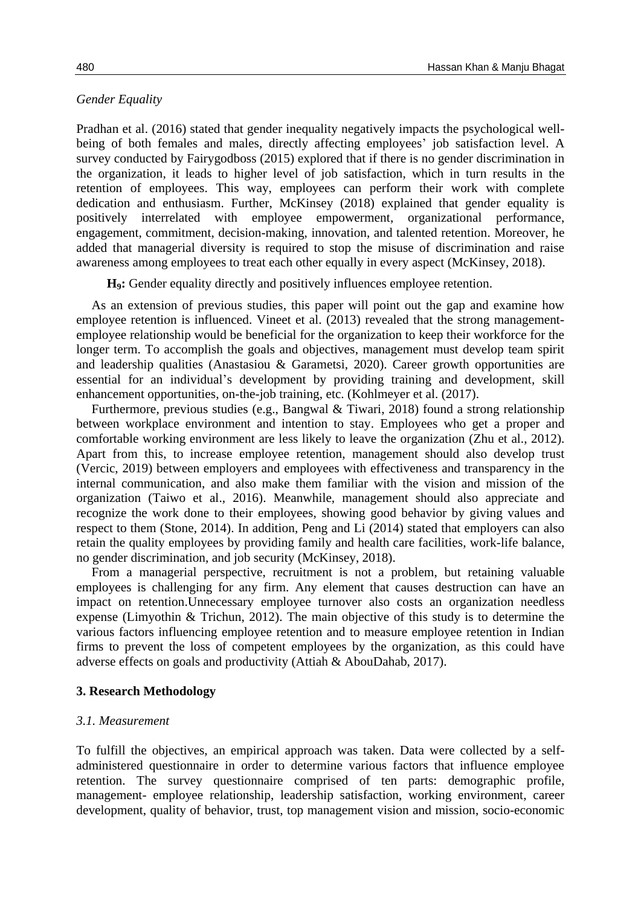#### *Gender Equality*

Pradhan et al. (2016) stated that gender inequality negatively impacts the psychological wellbeing of both females and males, directly affecting employees' job satisfaction level. A survey conducted by Fairygodboss (2015) explored that if there is no gender discrimination in the organization, it leads to higher level of job satisfaction, which in turn results in the retention of employees. This way, employees can perform their work with complete dedication and enthusiasm. Further, McKinsey (2018) explained that gender equality is positively interrelated with employee empowerment, organizational performance, engagement, commitment, decision-making, innovation, and talented retention. Moreover, he added that managerial diversity is required to stop the misuse of discrimination and raise awareness among employees to treat each other equally in every aspect (McKinsey, 2018).

**H9:** Gender equality directly and positively influences employee retention.

As an extension of previous studies, this paper will point out the gap and examine how employee retention is influenced. Vineet et al. (2013) revealed that the strong managementemployee relationship would be beneficial for the organization to keep their workforce for the longer term. To accomplish the goals and objectives, management must develop team spirit and leadership qualities (Anastasiou & Garametsi, 2020). Career growth opportunities are essential for an individual's development by providing training and development, skill enhancement opportunities, on-the-job training, etc. (Kohlmeyer et al. (2017).

Furthermore, previous studies (e.g., Bangwal & Tiwari, 2018) found a strong relationship between workplace environment and intention to stay. Employees who get a proper and comfortable working environment are less likely to leave the organization (Zhu et al., 2012). Apart from this, to increase employee retention, management should also develop trust (Vercic, 2019) between employers and employees with effectiveness and transparency in the internal communication, and also make them familiar with the vision and mission of the organization (Taiwo et al., 2016). Meanwhile, management should also appreciate and recognize the work done to their employees, showing good behavior by giving values and respect to them (Stone, 2014). In addition, Peng and Li (2014) stated that employers can also retain the quality employees by providing family and health care facilities, work-life balance, no gender discrimination, and job security (McKinsey, 2018).

From a managerial perspective, recruitment is not a problem, but retaining valuable employees is challenging for any firm. Any element that causes destruction can have an impact on retention.Unnecessary employee turnover also costs an organization needless expense (Limyothin & Trichun, 2012). The main objective of this study is to determine the various factors influencing employee retention and to measure employee retention in Indian firms to prevent the loss of competent employees by the organization, as this could have adverse effects on goals and productivity (Attiah & AbouDahab, 2017).

#### **3. Research Methodology**

#### *3.1. Measurement*

To fulfill the objectives, an empirical approach was taken. Data were collected by a selfadministered questionnaire in order to determine various factors that influence employee retention. The survey questionnaire comprised of ten parts: demographic profile, management- employee relationship, leadership satisfaction, working environment, career development, quality of behavior, trust, top management vision and mission, socio-economic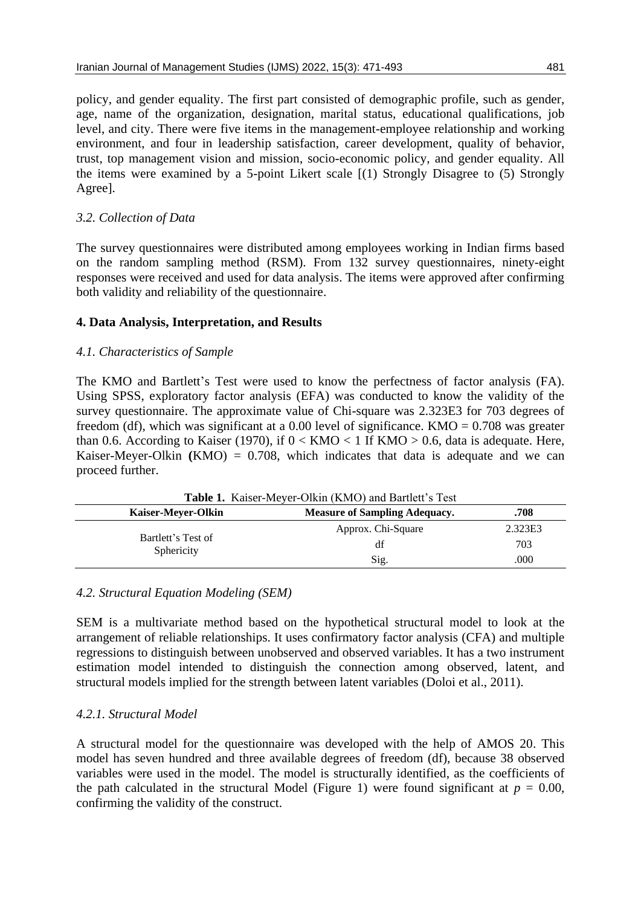policy, and gender equality. The first part consisted of demographic profile, such as gender, age, name of the organization, designation, marital status, educational qualifications, job level, and city. There were five items in the management-employee relationship and working environment, and four in leadership satisfaction, career development, quality of behavior, trust, top management vision and mission, socio-economic policy, and gender equality. All the items were examined by a 5-point Likert scale [(1) Strongly Disagree to (5) Strongly Agree].

## *3.2. Collection of Data*

The survey questionnaires were distributed among employees working in Indian firms based on the random sampling method (RSM). From 132 survey questionnaires, ninety-eight responses were received and used for data analysis. The items were approved after confirming both validity and reliability of the questionnaire.

## **4. Data Analysis, Interpretation, and Results**

### *4.1. Characteristics of Sample*

The KMO and Bartlett's Test were used to know the perfectness of factor analysis (FA). Using SPSS, exploratory factor analysis (EFA) was conducted to know the validity of the survey questionnaire. The approximate value of Chi-square was 2.323E3 for 703 degrees of freedom (df), which was significant at a 0.00 level of significance. KMO =  $0.708$  was greater than 0.6. According to Kaiser (1970), if  $0 < KMO < 1$  If  $KMO > 0.6$ , data is adequate. Here, Kaiser-Meyer-Olkin  $(KMO) = 0.708$ , which indicates that data is adequate and we can proceed further.

| <b>Table 1.</b> Kaiser-Meyer-Olkin (KMO) and Bartlett's Test |                    |         |  |  |  |  |
|--------------------------------------------------------------|--------------------|---------|--|--|--|--|
| Kaiser-Mever-Olkin                                           | .708               |         |  |  |  |  |
| Bartlett's Test of<br>Sphericity                             | Approx. Chi-Square | 2.323E3 |  |  |  |  |
|                                                              | df                 | 703     |  |  |  |  |
|                                                              | Sig.               | .000    |  |  |  |  |

### *4.2. Structural Equation Modeling (SEM)*

SEM is a multivariate method based on the hypothetical structural model to look at the arrangement of reliable relationships. It uses confirmatory factor analysis (CFA) and multiple regressions to distinguish between unobserved and observed variables. It has a two instrument estimation model intended to distinguish the connection among observed, latent, and structural models implied for the strength between latent variables (Doloi et al., 2011).

## *4.2.1. Structural Model*

A structural model for the questionnaire was developed with the help of AMOS 20. This model has seven hundred and three available degrees of freedom (df), because 38 observed variables were used in the model. The model is structurally identified, as the coefficients of the path calculated in the structural Model (Figure 1) were found significant at  $p = 0.00$ , confirming the validity of the construct.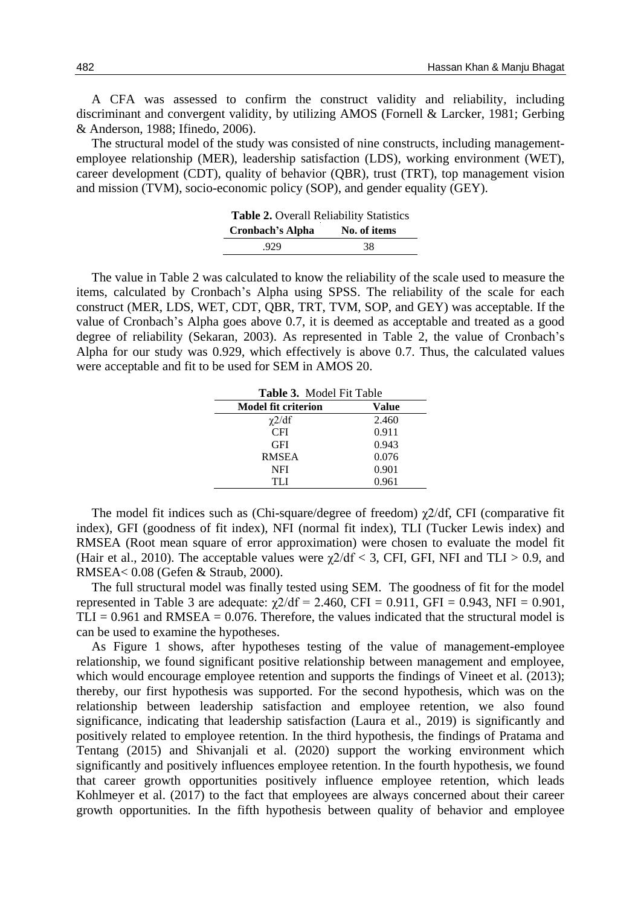A CFA was assessed to confirm the construct validity and reliability, including discriminant and convergent validity, by utilizing AMOS (Fornell & Larcker, 1981; Gerbing & Anderson, 1988; Ifinedo, 2006).

The structural model of the study was consisted of nine constructs, including managementemployee relationship (MER), leadership satisfaction (LDS), working environment (WET), career development (CDT), quality of behavior (QBR), trust (TRT), top management vision and mission (TVM), socio-economic policy (SOP), and gender equality (GEY).

| Table 2. Overall Reliability Statistics |              |  |  |  |  |
|-----------------------------------------|--------------|--|--|--|--|
| <b>Cronbach's Alpha</b>                 | No. of items |  |  |  |  |
| .929                                    | 38           |  |  |  |  |

The value in Table 2 was calculated to know the reliability of the scale used to measure the items, calculated by Cronbach's Alpha using SPSS. The reliability of the scale for each construct (MER, LDS, WET, CDT, QBR, TRT, TVM, SOP, and GEY) was acceptable. If the value of Cronbach's Alpha goes above 0.7, it is deemed as acceptable and treated as a good degree of reliability (Sekaran, 2003). As represented in Table 2, the value of Cronbach's Alpha for our study was 0.929, which effectively is above 0.7. Thus, the calculated values were acceptable and fit to be used for SEM in AMOS 20.

| <b>Table 3.</b> Model Fit Table |       |
|---------------------------------|-------|
| <b>Model fit criterion</b>      | Value |
| $\chi$ 2/df                     | 2.460 |
| <b>CFI</b>                      | 0.911 |
| <b>GFI</b>                      | 0.943 |
| <b>RMSEA</b>                    | 0.076 |
| <b>NFI</b>                      | 0.901 |
| TH                              | 0.961 |

The model fit indices such as (Chi-square/degree of freedom) χ2/df, CFI (comparative fit index), GFI (goodness of fit index), NFI (normal fit index), TLI (Tucker Lewis index) and RMSEA (Root mean square of error approximation) were chosen to evaluate the model fit (Hair et al., 2010). The acceptable values were  $\gamma$ 2/df < 3, CFI, GFI, NFI and TLI > 0.9, and RMSEA< 0.08 (Gefen & Straub, 2000).

The full structural model was finally tested using SEM. The goodness of fit for the model represented in Table 3 are adequate:  $χ2/df = 2.460$ , CFI = 0.911, GFI = 0.943, NFI = 0.901,  $TLI = 0.961$  and RMSEA = 0.076. Therefore, the values indicated that the structural model is can be used to examine the hypotheses.

As Figure 1 shows, after hypotheses testing of the value of management-employee relationship, we found significant positive relationship between management and employee, which would encourage employee retention and supports the findings of Vineet et al. (2013); thereby, our first hypothesis was supported. For the second hypothesis, which was on the relationship between leadership satisfaction and employee retention, we also found significance, indicating that leadership satisfaction (Laura et al., 2019) is significantly and positively related to employee retention. In the third hypothesis, the findings of Pratama and Tentang (2015) and Shivanjali et al. (2020) support the working environment which significantly and positively influences employee retention. In the fourth hypothesis, we found that career growth opportunities positively influence employee retention, which leads Kohlmeyer et al. (2017) to the fact that employees are always concerned about their career growth opportunities. In the fifth hypothesis between quality of behavior and employee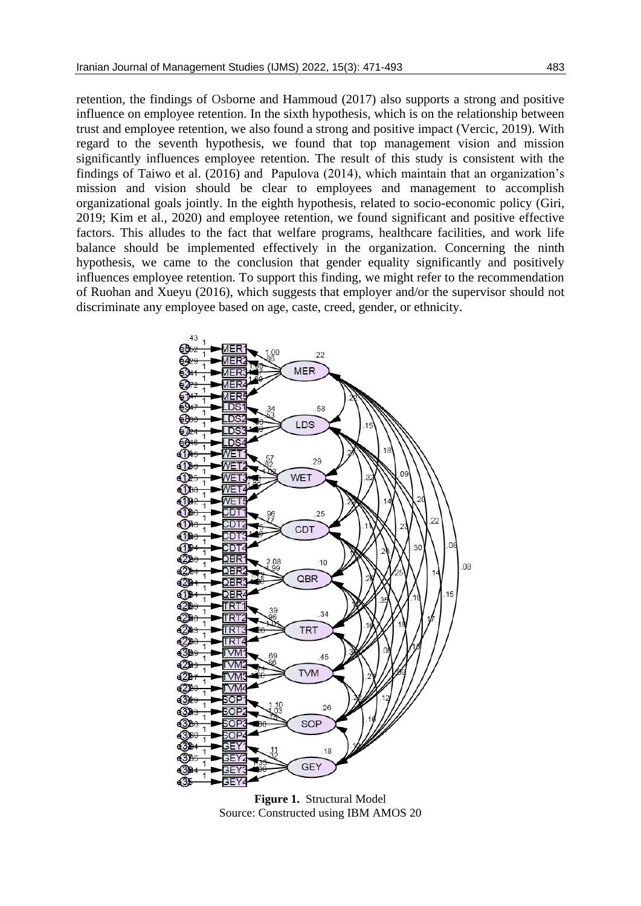retention, the findings of Osborne and Hammoud (2017) also supports a strong and positive influence on employee retention. In the sixth hypothesis, which is on the relationship between trust and employee retention, we also found a strong and positive impact (Vercic, 2019). With regard to the seventh hypothesis, we found that top management vision and mission significantly influences employee retention. The result of this study is consistent with the findings of Taiwo et al. (2016) and Papulova (2014), which maintain that an organization's mission and vision should be clear to employees and management to accomplish organizational goals jointly. In the eighth hypothesis, related to socio-economic policy (Giri, 2019; Kim et al., 2020) and employee retention, we found significant and positive effective factors. This alludes to the fact that welfare programs, healthcare facilities, and work life balance should be implemented effectively in the organization. Concerning the ninth hypothesis, we came to the conclusion that gender equality significantly and positively influences employee retention. To support this finding, we might refer to the recommendation of Ruohan and Xueyu (2016), which suggests that employer and/or the supervisor should not discriminate any employee based on age, caste, creed, gender, or ethnicity.



**Figure 1.** Structural Model Source: Constructed using IBM AMOS 20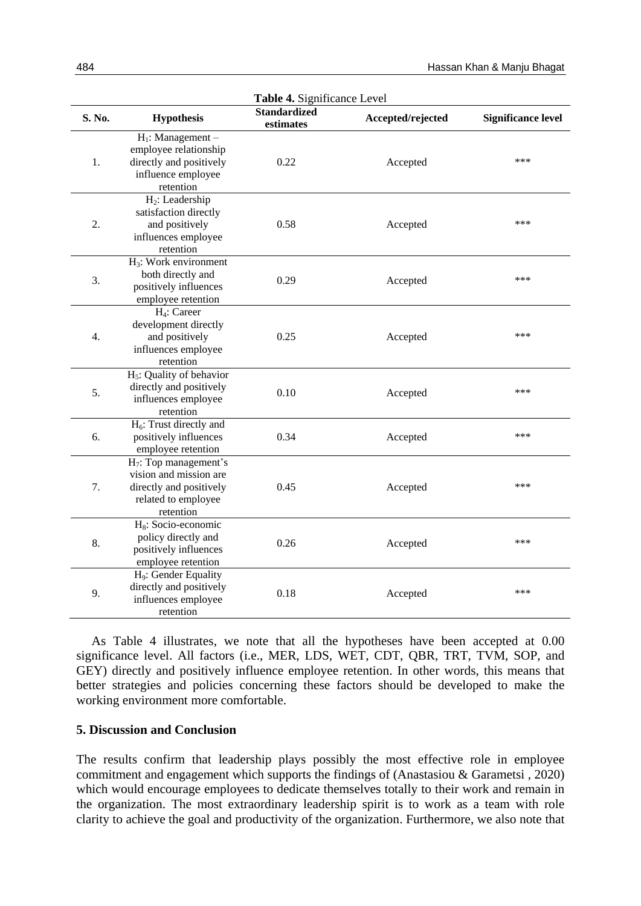| Table 4. Significance Level |                                                                                                                   |                                  |                   |                           |  |  |  |
|-----------------------------|-------------------------------------------------------------------------------------------------------------------|----------------------------------|-------------------|---------------------------|--|--|--|
| S. No.                      | <b>Hypothesis</b>                                                                                                 | <b>Standardized</b><br>estimates | Accepted/rejected | <b>Significance level</b> |  |  |  |
| 1.                          | $H_1$ : Management –<br>employee relationship<br>directly and positively<br>influence employee<br>retention       | 0.22                             | Accepted          | ***                       |  |  |  |
| 2.                          | $H_2$ : Leadership<br>satisfaction directly<br>and positively<br>influences employee<br>retention                 | 0.58                             | Accepted          | ***                       |  |  |  |
| 3.                          | $H_3$ : Work environment<br>both directly and<br>positively influences<br>employee retention                      | 0.29                             | Accepted          | ***                       |  |  |  |
| 4.                          | H <sub>4</sub> : Career<br>development directly<br>and positively<br>influences employee<br>retention             | 0.25                             | Accepted          | ***                       |  |  |  |
| 5.                          | $H_5$ : Quality of behavior<br>directly and positively<br>influences employee<br>retention                        | 0.10                             | Accepted          | ***                       |  |  |  |
| 6.                          | $H_6$ : Trust directly and<br>positively influences<br>employee retention                                         | 0.34                             | Accepted          | ***                       |  |  |  |
| 7.                          | $H_7$ : Top management's<br>vision and mission are<br>directly and positively<br>related to employee<br>retention | 0.45                             | Accepted          | ***                       |  |  |  |
| 8.                          | H <sub>8</sub> : Socio-economic<br>policy directly and<br>positively influences<br>employee retention             | 0.26                             | Accepted          | ***                       |  |  |  |
| 9.                          | H <sub>9</sub> : Gender Equality<br>directly and positively<br>influences employee<br>retention                   | 0.18                             | Accepted          | ***                       |  |  |  |

As Table 4 illustrates, we note that all the hypotheses have been accepted at 0.00 significance level. All factors (i.e., MER, LDS, WET, CDT, QBR, TRT, TVM, SOP, and GEY) directly and positively influence employee retention. In other words, this means that better strategies and policies concerning these factors should be developed to make the working environment more comfortable.

### **5. Discussion and Conclusion**

The results confirm that leadership plays possibly the most effective role in employee commitment and engagement which supports the findings of (Anastasiou & Garametsi , 2020) which would encourage employees to dedicate themselves totally to their work and remain in the organization. The most extraordinary leadership spirit is to work as a team with role clarity to achieve the goal and productivity of the organization. Furthermore, we also note that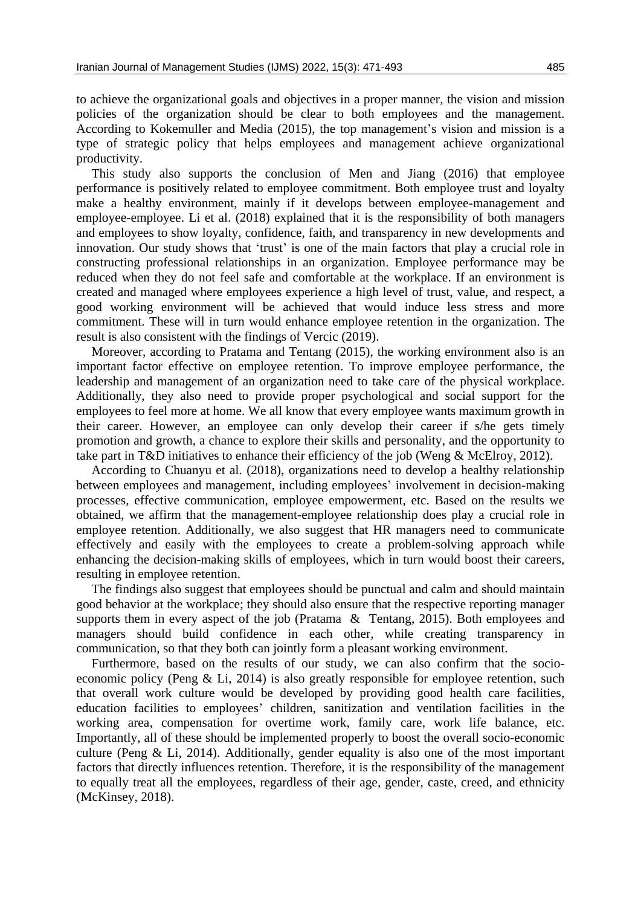to achieve the organizational goals and objectives in a proper manner, the vision and mission policies of the organization should be clear to both employees and the management. According to Kokemuller and Media (2015), the top management's vision and mission is a type of strategic policy that helps employees and management achieve organizational productivity.

This study also supports the conclusion of Men and Jiang (2016) that employee performance is positively related to employee commitment. Both employee trust and loyalty make a healthy environment, mainly if it develops between employee-management and employee-employee. Li et al. (2018) explained that it is the responsibility of both managers and employees to show loyalty, confidence, faith, and transparency in new developments and innovation. Our study shows that 'trust' is one of the main factors that play a crucial role in constructing professional relationships in an organization. Employee performance may be reduced when they do not feel safe and comfortable at the workplace. If an environment is created and managed where employees experience a high level of trust, value, and respect, a good working environment will be achieved that would induce less stress and more commitment. These will in turn would enhance employee retention in the organization. The result is also consistent with the findings of Vercic (2019).

Moreover, according to Pratama and Tentang (2015), the working environment also is an important factor effective on employee retention. To improve employee performance, the leadership and management of an organization need to take care of the physical workplace. Additionally, they also need to provide proper psychological and social support for the employees to feel more at home. We all know that every employee wants maximum growth in their career. However, an employee can only develop their career if s/he gets timely promotion and growth, a chance to explore their skills and personality, and the opportunity to take part in T&D initiatives to enhance their efficiency of the job (Weng & McElroy, 2012).

According to Chuanyu et al. (2018), organizations need to develop a healthy relationship between employees and management, including employees' involvement in decision-making processes, effective communication, employee empowerment, etc. Based on the results we obtained, we affirm that the management-employee relationship does play a crucial role in employee retention. Additionally, we also suggest that HR managers need to communicate effectively and easily with the employees to create a problem-solving approach while enhancing the decision-making skills of employees, which in turn would boost their careers, resulting in employee retention.

The findings also suggest that employees should be punctual and calm and should maintain good behavior at the workplace; they should also ensure that the respective reporting manager supports them in every aspect of the job (Pratama & Tentang, 2015). Both employees and managers should build confidence in each other, while creating transparency in communication, so that they both can jointly form a pleasant working environment.

Furthermore, based on the results of our study, we can also confirm that the socioeconomic policy (Peng & Li, 2014) is also greatly responsible for employee retention, such that overall work culture would be developed by providing good health care facilities, education facilities to employees' children, sanitization and ventilation facilities in the working area, compensation for overtime work, family care, work life balance, etc. Importantly, all of these should be implemented properly to boost the overall socio-economic culture (Peng & Li, 2014). Additionally, gender equality is also one of the most important factors that directly influences retention. Therefore, it is the responsibility of the management to equally treat all the employees, regardless of their age, gender, caste, creed, and ethnicity (McKinsey, 2018).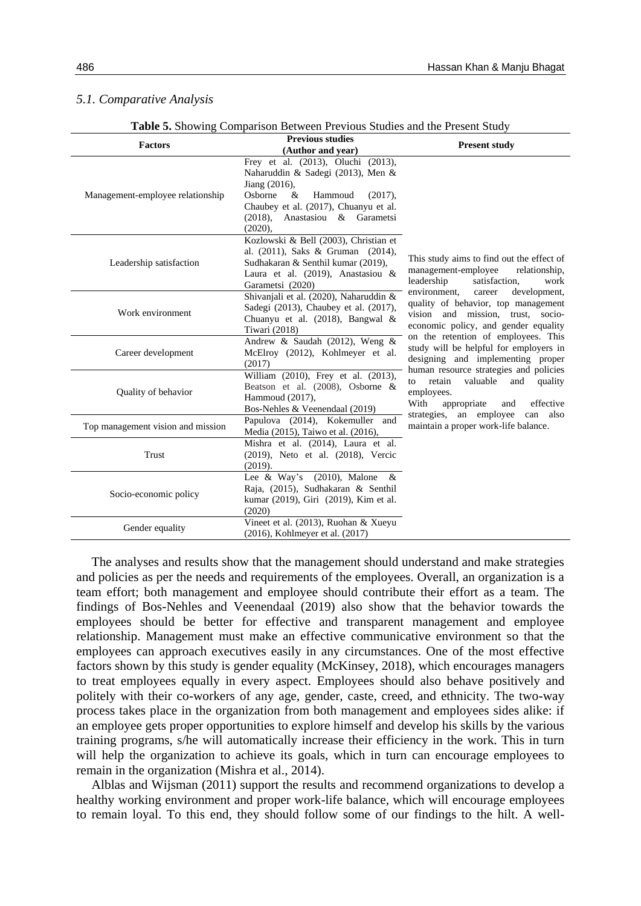#### *5.1. Comparative Analysis*

|  | Table 5. Showing Comparison Between Previous Studies and the Present Study |  |  |  |
|--|----------------------------------------------------------------------------|--|--|--|
|  |                                                                            |  |  |  |

| <b>Factors</b>                    | <b>Previous studies</b>                                    | <b>Present study</b>                                                              |  |  |  |  |
|-----------------------------------|------------------------------------------------------------|-----------------------------------------------------------------------------------|--|--|--|--|
|                                   | (Author and year)                                          |                                                                                   |  |  |  |  |
|                                   | Frey et al. (2013), Oluchi (2013),                         |                                                                                   |  |  |  |  |
|                                   | Naharuddin & Sadegi (2013), Men &<br>Jiang (2016),         |                                                                                   |  |  |  |  |
| Management-employee relationship  | $\&$<br>Osborne<br>Hammoud<br>$(2017)$ ,                   |                                                                                   |  |  |  |  |
|                                   | Chaubey et al. (2017), Chuanyu et al.                      |                                                                                   |  |  |  |  |
|                                   | (2018), Anastasiou & Garametsi                             |                                                                                   |  |  |  |  |
|                                   | (2020),                                                    |                                                                                   |  |  |  |  |
|                                   | Kozlowski & Bell (2003), Christian et                      |                                                                                   |  |  |  |  |
|                                   | al. (2011), Saks & Gruman (2014),                          | This study aims to find out the effect of<br>management-employee<br>relationship, |  |  |  |  |
| Leadership satisfaction           | Sudhakaran & Senthil kumar (2019),                         |                                                                                   |  |  |  |  |
|                                   | Laura et al. (2019), Anastasiou &                          | leadership<br>satisfaction,<br>work                                               |  |  |  |  |
|                                   | Garametsi (2020)<br>Shivanjali et al. (2020), Naharuddin & | environment,<br>development,<br>career                                            |  |  |  |  |
|                                   | Sadegi (2013), Chaubey et al. (2017),                      | quality of behavior, top management                                               |  |  |  |  |
| Work environment                  | Chuanyu et al. (2018), Bangwal &                           | vision and mission, trust, socio-                                                 |  |  |  |  |
|                                   | Tiwari (2018)                                              | economic policy, and gender equality<br>on the retention of employees. This       |  |  |  |  |
|                                   | Andrew & Saudah (2012), Weng &                             | study will be helpful for employers in                                            |  |  |  |  |
| Career development                | McElroy (2012), Kohlmeyer et al.                           | designing and implementing proper                                                 |  |  |  |  |
|                                   | (2017)<br>William (2010), Frey et al. (2013),              | human resource strategies and policies                                            |  |  |  |  |
|                                   | Beatson et al. (2008), Osborne &                           | retain<br>valuable<br>and<br>quality<br>$\mathsf{f} \Omega$                       |  |  |  |  |
| Quality of behavior               | Hammoud (2017),                                            | employees.                                                                        |  |  |  |  |
|                                   | Bos-Nehles & Veenendaal (2019)                             | appropriate<br>effective<br>With<br>and<br>strategies, an employee can also       |  |  |  |  |
| Top management vision and mission | Papulova (2014), Kokemuller and                            | maintain a proper work-life balance.                                              |  |  |  |  |
|                                   | Media (2015), Taiwo et al. (2016),                         |                                                                                   |  |  |  |  |
|                                   | Mishra et al. (2014), Laura et al.                         |                                                                                   |  |  |  |  |
| Trust                             | (2019), Neto et al. (2018), Vercic<br>(2019).              |                                                                                   |  |  |  |  |
|                                   | Lee & Way's (2010), Malone &                               |                                                                                   |  |  |  |  |
|                                   | Raja, (2015), Sudhakaran & Senthil                         |                                                                                   |  |  |  |  |
| Socio-economic policy             | kumar (2019), Giri (2019), Kim et al.                      |                                                                                   |  |  |  |  |
|                                   | (2020)                                                     |                                                                                   |  |  |  |  |
| Gender equality                   | Vineet et al. (2013), Ruohan & Xueyu                       |                                                                                   |  |  |  |  |
|                                   | (2016), Kohlmeyer et al. (2017)                            |                                                                                   |  |  |  |  |

The analyses and results show that the management should understand and make strategies and policies as per the needs and requirements of the employees. Overall, an organization is a team effort; both management and employee should contribute their effort as a team. The findings of Bos-Nehles and Veenendaal (2019) also show that the behavior towards the employees should be better for effective and transparent management and employee relationship. Management must make an effective communicative environment so that the employees can approach executives easily in any circumstances. One of the most effective factors shown by this study is gender equality (McKinsey, 2018), which encourages managers to treat employees equally in every aspect. Employees should also behave positively and politely with their co-workers of any age, gender, caste, creed, and ethnicity. The two-way process takes place in the organization from both management and employees sides alike: if an employee gets proper opportunities to explore himself and develop his skills by the various training programs, s/he will automatically increase their efficiency in the work. This in turn will help the organization to achieve its goals, which in turn can encourage employees to remain in the organization (Mishra et al., 2014).

Alblas and Wijsman (2011) support the results and recommend organizations to develop a healthy working environment and proper work-life balance, which will encourage employees to remain loyal. To this end, they should follow some of our findings to the hilt. A well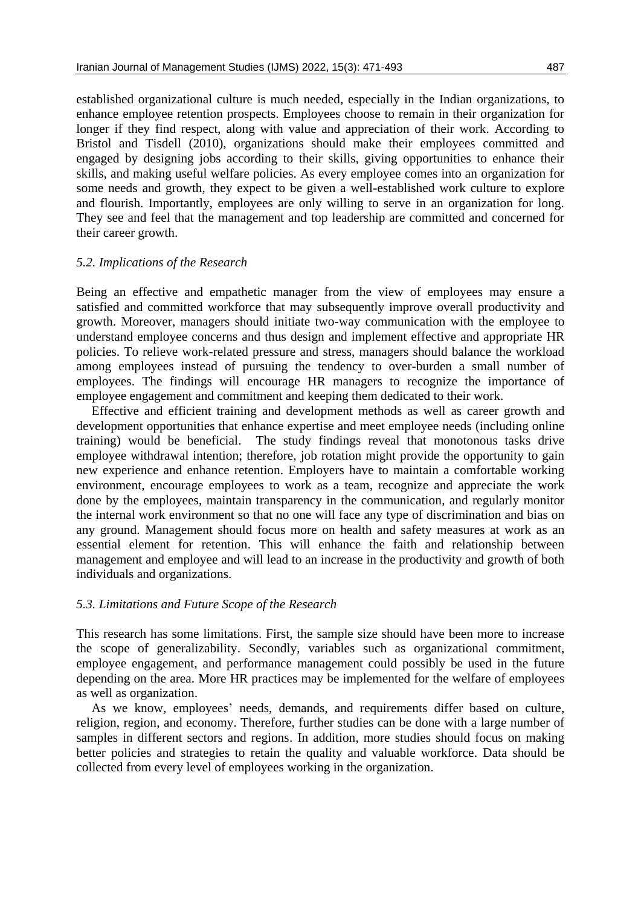established organizational culture is much needed, especially in the Indian organizations, to enhance employee retention prospects. Employees choose to remain in their organization for longer if they find respect, along with value and appreciation of their work. According to Bristol and Tisdell (2010), organizations should make their employees committed and engaged by designing jobs according to their skills, giving opportunities to enhance their skills, and making useful welfare policies. As every employee comes into an organization for some needs and growth, they expect to be given a well-established work culture to explore and flourish. Importantly, employees are only willing to serve in an organization for long. They see and feel that the management and top leadership are committed and concerned for their career growth.

#### *5.2. Implications of the Research*

Being an effective and empathetic manager from the view of employees may ensure a satisfied and committed workforce that may subsequently improve overall productivity and growth. Moreover, managers should initiate two-way communication with the employee to understand employee concerns and thus design and implement effective and appropriate HR policies. To relieve work-related pressure and stress, managers should balance the workload among employees instead of pursuing the tendency to over-burden a small number of employees. The findings will encourage HR managers to recognize the importance of employee engagement and commitment and keeping them dedicated to their work.

Effective and efficient training and development methods as well as career growth and development opportunities that enhance expertise and meet employee needs (including online training) would be beneficial. The study findings reveal that monotonous tasks drive employee withdrawal intention; therefore, job rotation might provide the opportunity to gain new experience and enhance retention. Employers have to maintain a comfortable working environment, encourage employees to work as a team, recognize and appreciate the work done by the employees, maintain transparency in the communication, and regularly monitor the internal work environment so that no one will face any type of discrimination and bias on any ground. Management should focus more on health and safety measures at work as an essential element for retention. This will enhance the faith and relationship between management and employee and will lead to an increase in the productivity and growth of both individuals and organizations.

#### *5.3. Limitations and Future Scope of the Research*

This research has some limitations. First, the sample size should have been more to increase the scope of generalizability. Secondly, variables such as organizational commitment, employee engagement, and performance management could possibly be used in the future depending on the area. More HR practices may be implemented for the welfare of employees as well as organization.

As we know, employees' needs, demands, and requirements differ based on culture, religion, region, and economy. Therefore, further studies can be done with a large number of samples in different sectors and regions. In addition, more studies should focus on making better policies and strategies to retain the quality and valuable workforce. Data should be collected from every level of employees working in the organization.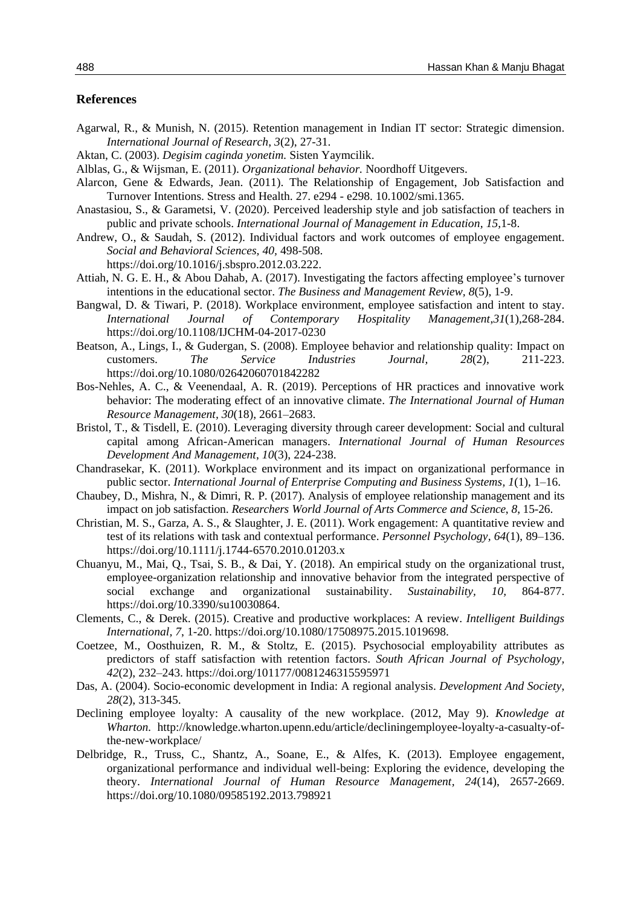#### **References**

- Agarwal, R., & Munish, N. (2015). Retention management in Indian IT sector: Strategic dimension. *International Journal of Research*, *3*(2), 27-31.
- Aktan, C. (2003). *Degisim caginda yonetim.* Sisten Yaymcilik.
- Alblas, G., & Wijsman, E. (2011). *Organizational behavior.* Noordhoff Uitgevers.
- Alarcon, Gene & Edwards, Jean. (2011). The Relationship of Engagement, Job Satisfaction and Turnover Intentions. Stress and Health. 27. e294 - e298. 10.1002/smi.1365.
- Anastasiou, S., & Garametsi, V. (2020). Perceived leadership style and job satisfaction of teachers in public and private schools. *International Journal of Management in Education, 15,*1-8.
- Andrew, O., & Saudah, S. (2012). Individual factors and work outcomes of employee engagement. *Social and Behavioral Sciences, 40,* 498-508. https://doi.org/10.1016/j.sbspro.2012.03.222.
- Attiah, N. G. E. H., & Abou Dahab, A. (2017). Investigating the factors affecting employee's turnover intentions in the educational sector. *The Business and Management Review, 8*(5), 1-9.
- Bangwal, D. & Tiwari, P. (2018). Workplace environment, employee satisfaction and intent to stay. *International Journal of Contemporary Hospitality Management*,*31*(1),268-284. https://doi.org/10.1108/IJCHM-04-2017-0230
- Beatson, A., Lings, I., & Gudergan, S. (2008). Employee behavior and relationship quality: Impact on customers. *The Service Industries Journal, 28*(2), 211-223. https://doi.org/10.1080/02642060701842282
- Bos-Nehles, A. C., & Veenendaal, A. R. (2019). Perceptions of HR practices and innovative work behavior: The moderating effect of an innovative climate. *The International Journal of Human Resource Management, 30*(18), 2661–2683.
- Bristol, T., & Tisdell, E. (2010). Leveraging diversity through career development: Social and cultural capital among African-American managers. *International Journal of Human Resources Development And Management*, *10*(3), 224-238.
- Chandrasekar, K. (2011). Workplace environment and its impact on organizational performance in public sector. *International Journal of Enterprise Computing and Business Systems, 1*(1), 1–16.
- Chaubey, D., Mishra, N., & Dimri, R. P. (2017). Analysis of employee relationship management and its impact on job satisfaction. *Researchers World Journal of Arts Commerce and Science*, *8*, 15-26.
- Christian, M. S., Garza, A. S., & Slaughter, J. E. (2011). Work engagement: A quantitative review and test of its relations with task and contextual performance. *Personnel Psychology, 64*(1), 89–136. https://doi.org/10.1111/j.1744-6570.2010.01203.x
- Chuanyu, M., Mai, Q., Tsai, S. B., & Dai, Y. (2018). An empirical study on the organizational trust, employee-organization relationship and innovative behavior from the integrated perspective of social exchange and organizational sustainability. *Sustainability, 10,* 864-877. https://doi.org/10.3390/su10030864.
- Clements, C., & Derek. (2015). Creative and productive workplaces: A review. *Intelligent Buildings International, 7*, 1-20. https://doi.org/10.1080/17508975.2015.1019698.
- Coetzee, M., Oosthuizen, R. M., & Stoltz, E. (2015). Psychosocial employability attributes as predictors of staff satisfaction with retention factors. *South African Journal of Psychology, 42*(2), 232–243. https://doi.org/101177/0081246315595971
- Das, A. (2004). Socio-economic development in India: A regional analysis. *Development And Society*, *28*(2), 313-345.
- Declining employee loyalty: A causality of the new workplace. (2012, May 9). *Knowledge at Wharton.* http://knowledge.wharton.upenn.edu/article/decliningemployee-loyalty-a-casualty-ofthe-new-workplace/
- Delbridge, R., Truss, C., Shantz, A., Soane, E., & Alfes, K. (2013). Employee engagement, organizational performance and individual well-being: Exploring the evidence, developing the theory. *International Journal of Human Resource Management, 24*(14), 2657-2669. https://doi.org/10.1080/09585192.2013.798921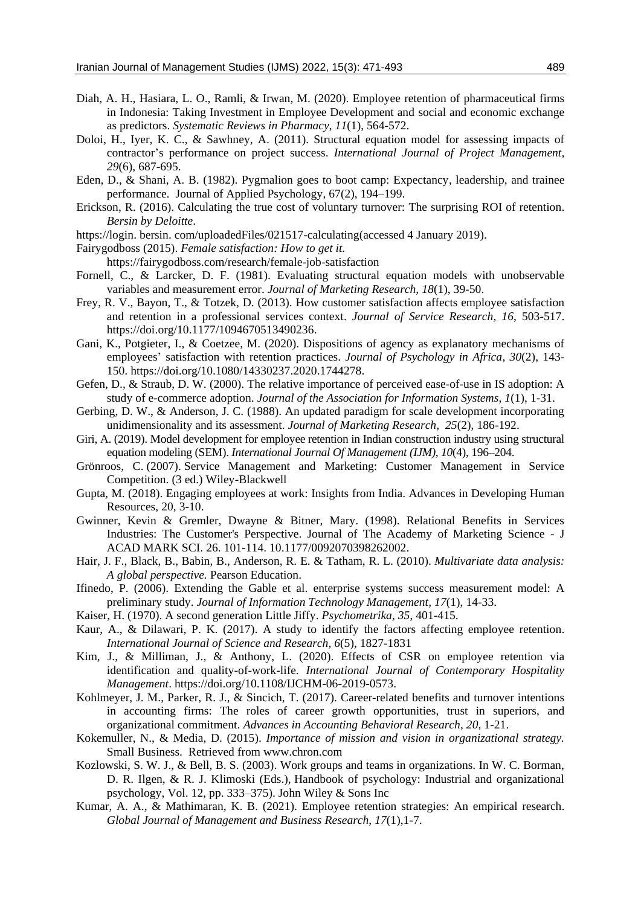- Diah, A. H., Hasiara, L. O., Ramli, & Irwan, M. (2020). Employee retention of pharmaceutical firms in Indonesia: Taking Investment in Employee Development and social and economic exchange as predictors. *Systematic Reviews in Pharmacy*, *11*(1), 564-572.
- Doloi, H., Iyer, K. C., & Sawhney, A. (2011). Structural equation model for assessing impacts of contractor's performance on project success. *International Journal of Project Management, 29*(6), 687-695.
- Eden, D., & Shani, A. B. (1982). Pygmalion goes to boot camp: Expectancy, leadership, and trainee performance. Journal of Applied Psychology, 67(2), 194–199.
- Erickson, R. (2016). Calculating the true cost of voluntary turnover: The surprising ROI of retention. *Bersin by Deloitte*.
- https://login. bersin. com/uploadedFiles/021517-calculating(accessed 4 January 2019).
- Fairygodboss (2015). *Female satisfaction: How to get it.* 
	- https://fairygodboss.com/research/female-job-satisfaction
- Fornell, C., & Larcker, D. F. (1981). Evaluating structural equation models with unobservable variables and measurement error. *Journal of Marketing Research, 18*(1), 39-50.
- Frey, R. V., Bayon, T., & Totzek, D. (2013). How customer satisfaction affects employee satisfaction and retention in a professional services context. *Journal of Service Research, 16*, 503-517. https://doi.org/10.1177/1094670513490236.
- Gani, K., Potgieter, I., & Coetzee, M. (2020). Dispositions of agency as explanatory mechanisms of employees' satisfaction with retention practices. *Journal of Psychology in Africa, 30*(2), 143- 150. https://doi.org/10.1080/14330237.2020.1744278.
- Gefen, D., & Straub, D. W. (2000). The relative importance of perceived ease-of-use in IS adoption: A study of e-commerce adoption. *Journal of the Association for Information Systems, 1*(1), 1-31.
- Gerbing, D. W., & Anderson, J. C. (1988). An updated paradigm for scale development incorporating unidimensionality and its assessment. *Journal of Marketing Research, 25*(2), 186-192.
- Giri, A. (2019). Model development for employee retention in Indian construction industry using structural equation modeling (SEM). *International Journal Of Management (IJM), 10*(4), 196–204.
- Grönroos, C. (2007). Service Management and Marketing: Customer Management in Service Competition. (3 ed.) Wiley-Blackwell
- Gupta, M. (2018). Engaging employees at work: Insights from India. Advances in Developing Human Resources, 20, 3-10.
- Gwinner, Kevin & Gremler, Dwayne & Bitner, Mary. (1998). Relational Benefits in Services Industries: The Customer's Perspective. Journal of The Academy of Marketing Science - J ACAD MARK SCI. 26. 101-114. 10.1177/0092070398262002.
- Hair, J. F., Black, B., Babin, B., Anderson, R. E. & Tatham, R. L. (2010). *Multivariate data analysis: A global perspective.* Pearson Education.
- Ifinedo, P. (2006). Extending the Gable et al. enterprise systems success measurement model: A preliminary study. *Journal of Information Technology Management, 17*(1), 14-33.
- Kaiser, H. (1970). A second generation Little Jiffy. *Psychometrika, 35*, 401-415.
- Kaur, A., & Dilawari, P. K. (2017). A study to identify the factors affecting employee retention. *International Journal of Science and Research, 6*(5), 1827-1831
- Kim, J., & Milliman, J., & Anthony, L. (2020). Effects of CSR on employee retention via identification and quality-of-work-life. *International Journal of Contemporary Hospitality Management*. https://doi.org/10.1108/IJCHM-06-2019-0573.
- Kohlmeyer, J. M., Parker, R. J., & Sincich, T. (2017). Career-related benefits and turnover intentions in accounting firms: The roles of career growth opportunities, trust in superiors, and organizational commitment. *Advances in Accounting Behavioral Research*, *20*, 1-21.
- Kokemuller, N., & Media, D. (2015). *Importance of mission and vision in organizational strategy.* Small Business. Retrieved from www.chron.com
- Kozlowski, S. W. J., & Bell, B. S. (2003). Work groups and teams in organizations. In W. C. Borman, D. R. Ilgen, & R. J. Klimoski (Eds.), Handbook of psychology: Industrial and organizational psychology, Vol. 12, pp. 333–375). John Wiley & Sons Inc
- Kumar, A. A., & Mathimaran, K. B. (2021). Employee retention strategies: An empirical research. *Global Journal of Management and Business Research, 17*(1),1-7.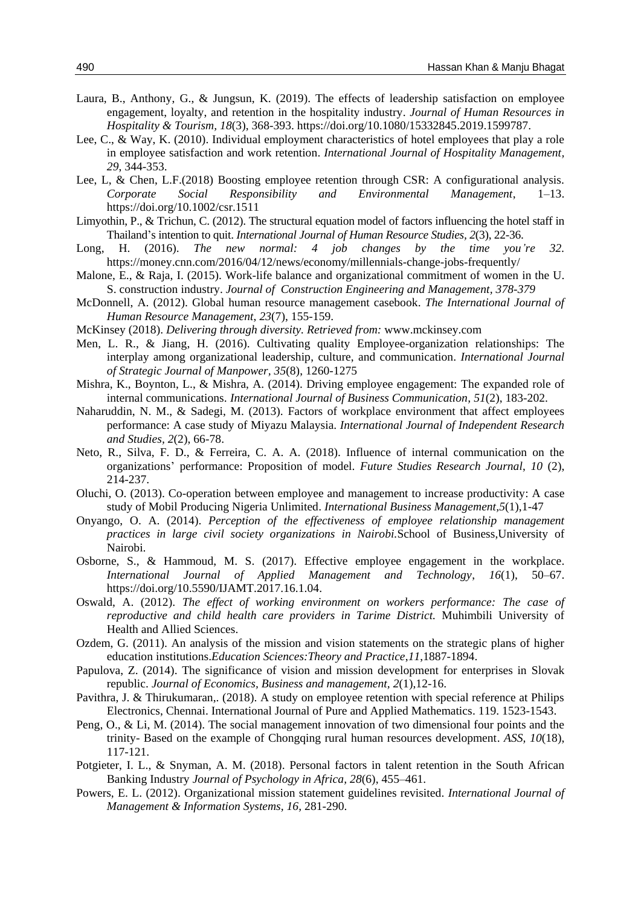- Laura, B., Anthony, G., & Jungsun, K. (2019). The effects of leadership satisfaction on employee engagement, loyalty, and retention in the hospitality industry. *Journal of Human Resources in Hospitality & Tourism, 18*(3), 368-393. https://doi.org/10.1080/15332845.2019.1599787.
- Lee, C., & Way, K. (2010). Individual employment characteristics of hotel employees that play a role in employee satisfaction and work retention. *International Journal of Hospitality Management, 29*, 344-353.
- Lee, L, & Chen, L.F.(2018) Boosting employee retention through CSR: A configurational analysis. *Corporate Social Responsibility and Environmental Management*, 1–13. https://doi.org/10.1002/csr.1511
- Limyothin, P., & Trichun, C. (2012). The structural equation model of factors influencing the hotel staff in Thailand's intention to quit. *International Journal of Human Resource Studies, 2*(3), 22-36.
- Long, H. (2016). *The new normal: 4 job changes by the time you're 32.* https://money.cnn.com/2016/04/12/news/economy/millennials-change-jobs-frequently/
- Malone, E., & Raja, I. (2015). Work-life balance and organizational commitment of women in the U. S. construction industry. *Journal of Construction Engineering and Management, 378-379*
- McDonnell, A. (2012). Global human resource management casebook. *The International Journal of Human Resource Management*, *23*(7), 155-159.
- McKinsey (2018). *Delivering through diversity. Retrieved from:* www.mckinsey.com
- Men, L. R., & Jiang, H. (2016). Cultivating quality Employee-organization relationships: The interplay among organizational leadership, culture, and communication. *International Journal of Strategic Journal of Manpower, 35*(8), 1260-1275
- Mishra, K., Boynton, L., & Mishra, A. (2014). Driving employee engagement: The expanded role of internal communications. *International Journal of Business Communication, 51*(2), 183-202.
- Naharuddin, N. M., & Sadegi, M. (2013). Factors of workplace environment that affect employees performance: A case study of Miyazu Malaysia. *International Journal of Independent Research and Studies, 2*(2), 66-78.
- Neto, R., Silva, F. D., & Ferreira, C. A. A. (2018). Influence of internal communication on the organizations' performance: Proposition of model. *Future Studies Research Journal*, *10* (2), 214-237.
- Oluchi, O. (2013). Co-operation between employee and management to increase productivity: A case study of Mobil Producing Nigeria Unlimited. *International Business Management,5*(1),1-47
- Onyango, O. A. (2014). *Perception of the effectiveness of employee relationship management practices in large civil society organizations in Nairobi.*School of Business,University of Nairobi.
- Osborne, S., & Hammoud, M. S. (2017). Effective employee engagement in the workplace. *International Journal of Applied Management and Technology*, *16*(1), 50–67. https://doi.org/10.5590/IJAMT.2017.16.1.04.
- Oswald, A. (2012). *The effect of working environment on workers performance: The case of reproductive and child health care providers in Tarime District.* Muhimbili University of Health and Allied Sciences.
- Ozdem, G. (2011). An analysis of the mission and vision statements on the strategic plans of higher education institutions.*Education Sciences:Theory and Practice*,*11*,1887-1894.
- Papulova, Z. (2014). The significance of vision and mission development for enterprises in Slovak republic. *Journal of Economics, Business and management, 2*(1),12-16.
- Pavithra, J. & Thirukumaran,. (2018). A study on employee retention with special reference at Philips Electronics, Chennai. International Journal of Pure and Applied Mathematics. 119. 1523-1543.
- Peng, O., & Li, M. (2014). The social management innovation of two dimensional four points and the trinity- Based on the example of Chongqing rural human resources development. *ASS, 10*(18), 117-121.
- Potgieter, I. L., & Snyman, A. M. (2018). Personal factors in talent retention in the South African Banking Industry *Journal of Psychology in Africa, 28*(6), 455–461.
- Powers, E. L. (2012). Organizational mission statement guidelines revisited. *International Journal of Management & Information Systems, 16,* 281-290.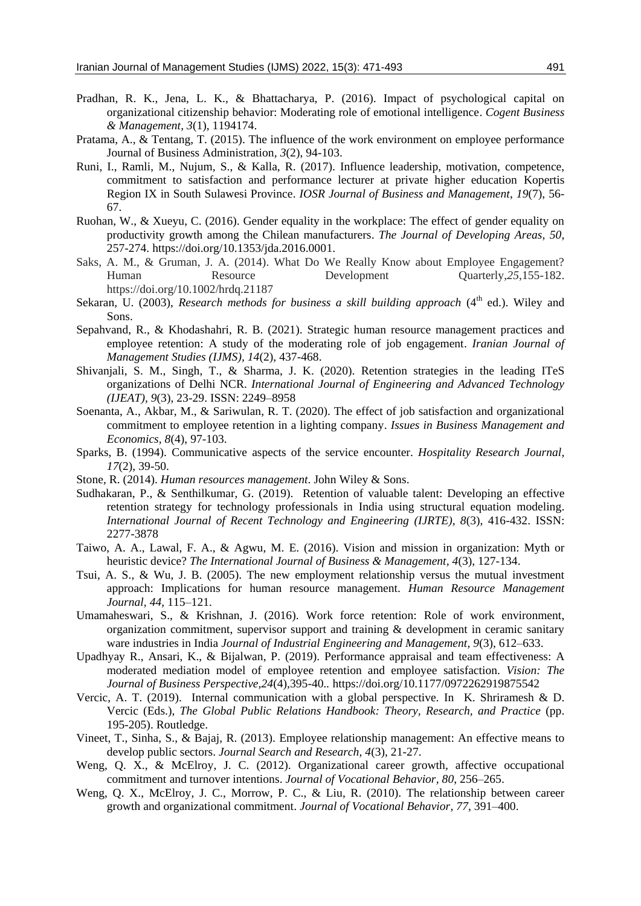- Pradhan, R. K., Jena, L. K., & Bhattacharya, P. (2016). Impact of psychological capital on organizational citizenship behavior: Moderating role of emotional intelligence. *Cogent Business & Management, 3*(1), 1194174.
- Pratama, A., & Tentang, T. (2015). The influence of the work environment on employee performance Journal of Business Administration*, 3*(2), 94-103.
- Runi, I., Ramli, M., Nujum, S., & Kalla, R. (2017). Influence leadership, motivation, competence, commitment to satisfaction and performance lecturer at private higher education Kopertis Region IX in South Sulawesi Province. *IOSR Journal of Business and Management*, *19*(7), 56- 67.
- Ruohan, W., & Xueyu, C. (2016). Gender equality in the workplace: The effect of gender equality on productivity growth among the Chilean manufacturers. *The Journal of Developing Areas, 50*, 257-274. https://doi.org/10.1353/jda.2016.0001.
- Saks, A. M., & Gruman, J. A. (2014). What Do We Really Know about Employee Engagement? Human Resource Development Quarterly,*25*,155-182. https://doi.org/10.1002/hrdq.21187
- Sekaran, U. (2003), *Research methods for business a skill building approach* (4<sup>th</sup> ed.). Wiley and Sons.
- Sepahvand, R., & Khodashahri, R. B. (2021). Strategic human resource management practices and employee retention: A study of the moderating role of job engagement. *Iranian Journal of Management Studies (IJMS), 14*(2), 437-468.
- Shivanjali, S. M., Singh, T., & Sharma, J. K. (2020). Retention strategies in the leading ITeS organizations of Delhi NCR. *International Journal of Engineering and Advanced Technology (IJEAT), 9*(3), 23-29. ISSN: 2249–8958
- Soenanta, A., Akbar, M., & Sariwulan, R. T. (2020). The effect of job satisfaction and organizational commitment to employee retention in a lighting company. *Issues in Business Management and Economics, 8*(4), 97-103.
- Sparks, B. (1994). Communicative aspects of the service encounter. *Hospitality Research Journal, 17*(2), 39-50.
- Stone, R. (2014). *Human resources management*. John Wiley & Sons.
- Sudhakaran, P., & Senthilkumar, G. (2019). Retention of valuable talent: Developing an effective retention strategy for technology professionals in India using structural equation modeling. *International Journal of Recent Technology and Engineering (IJRTE), 8*(3), 416-432. ISSN: 2277-3878
- Taiwo, A. A., Lawal, F. A., & Agwu, M. E. (2016). Vision and mission in organization: Myth or heuristic device? *The International Journal of Business & Management, 4*(3), 127-134.
- Tsui, A. S., & Wu, J. B. (2005). The new employment relationship versus the mutual investment approach: Implications for human resource management. *Human Resource Management Journal, 44*, 115–121.
- Umamaheswari, S., & Krishnan, J. (2016). Work force retention: Role of work environment, organization commitment, supervisor support and training & development in ceramic sanitary ware industries in India *Journal of Industrial Engineering and Management, 9*(3), 612–633.
- Upadhyay R., Ansari, K., & Bijalwan, P. (2019). Performance appraisal and team effectiveness: A moderated mediation model of employee retention and employee satisfaction. *Vision: The Journal of Business Perspective,24*(4),395-40*..* https://doi.org/10.1177/0972262919875542
- Vercic, A. T. (2019). Internal communication with a global perspective*.* In K. Shriramesh & D. Vercic (Eds.), *The Global Public Relations Handbook: Theory, Research, and Practice* (pp. 195-205). Routledge.
- Vineet, T., Sinha, S., & Bajaj, R. (2013). Employee relationship management: An effective means to develop public sectors. *Journal Search and Research, 4*(3), 21-27.
- Weng, Q. X., & McElroy, J. C. (2012). Organizational career growth, affective occupational commitment and turnover intentions. *Journal of Vocational Behavior, 80*, 256–265.
- Weng, Q. X., McElroy, J. C., Morrow, P. C., & Liu, R. (2010). The relationship between career growth and organizational commitment. *Journal of Vocational Behavior, 77*, 391–400.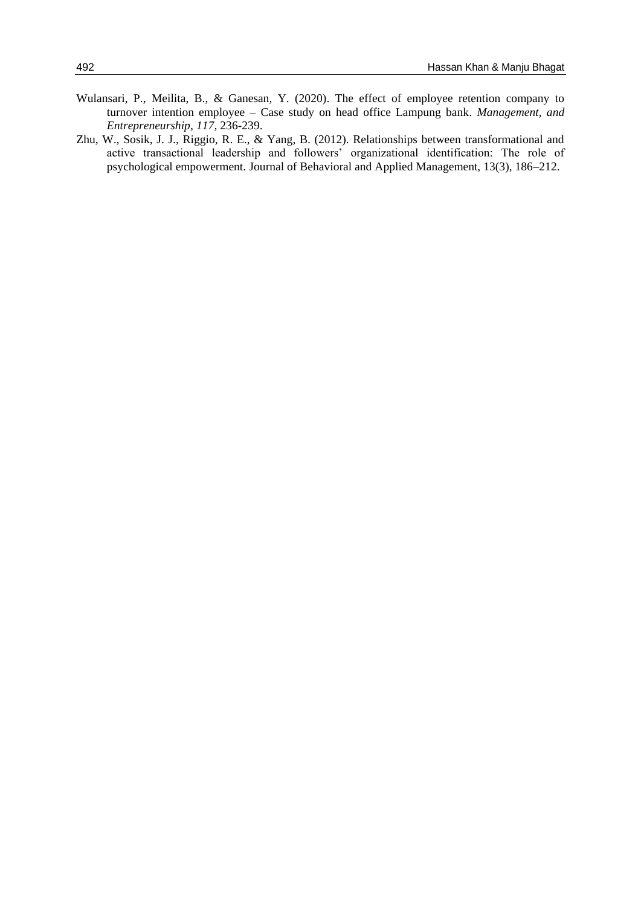- Wulansari, P., Meilita, B., & Ganesan, Y. (2020). The effect of employee retention company to turnover intention employee – Case study on head office Lampung bank. *Management, and Entrepreneurship, 117,* 236-239.
- Zhu, W., Sosik, J. J., Riggio, R. E., & Yang, B. (2012). Relationships between transformational and active transactional leadership and followers' organizational identification: The role of psychological empowerment. Journal of Behavioral and Applied Management, 13(3), 186–212.